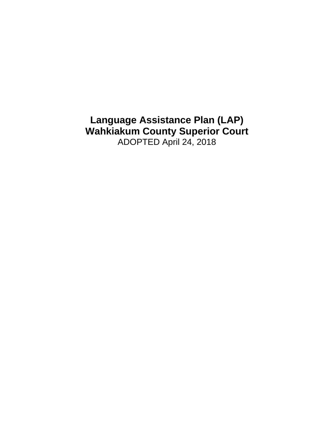**Language Assistance Plan (LAP) Wahkiakum County Superior Court** ADOPTED April 24, 2018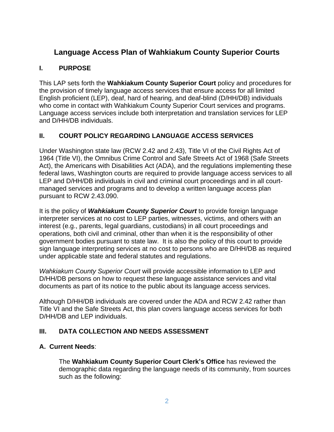# **Language Access Plan of Wahkiakum County Superior Courts**

# **I. PURPOSE**

This LAP sets forth the **Wahkiakum County Superior Court** policy and procedures for the provision of timely language access services that ensure access for all limited English proficient (LEP), deaf, hard of hearing, and deaf-blind (D/HH/DB) individuals who come in contact with Wahkiakum County Superior Court services and programs. Language access services include both interpretation and translation services for LEP and D/HH/DB individuals.

# **II. COURT POLICY REGARDING LANGUAGE ACCESS SERVICES**

Under Washington state law (RCW 2.42 and 2.43), Title VI of the Civil Rights Act of 1964 (Title VI), the Omnibus Crime Control and Safe Streets Act of 1968 (Safe Streets Act), the Americans with Disabilities Act (ADA), and the regulations implementing these federal laws, Washington courts are required to provide language access services to all LEP and D/HH/DB individuals in civil and criminal court proceedings and in all courtmanaged services and programs and to develop a written language access plan pursuant to RCW 2.43.090.

It is the policy of *Wahkiakum County Superior Court* to provide foreign language interpreter services at no cost to LEP parties, witnesses, victims, and others with an interest (e.g., parents, legal guardians, custodians) in all court proceedings and operations, both civil and criminal, other than when it is the responsibility of other government bodies pursuant to state law. It is also the policy of this court to provide sign language interpreting services at no cost to persons who are D/HH/DB as required under applicable state and federal statutes and regulations.

*Wahkiakum County Superior Court* will provide accessible information to LEP and D/HH/DB persons on how to request these language assistance services and vital documents as part of its notice to the public about its language access services.

Although D/HH/DB individuals are covered under the ADA and RCW 2.42 rather than Title VI and the Safe Streets Act, this plan covers language access services for both D/HH/DB and LEP individuals.

# **III. DATA COLLECTION AND NEEDS ASSESSMENT**

### **A. Current Needs**:

The **Wahkiakum County Superior Court Clerk's Office** has reviewed the demographic data regarding the language needs of its community, from sources such as the following: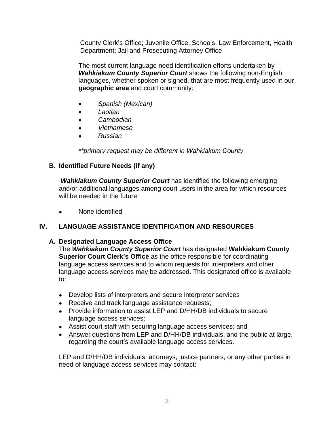County Clerk's Office; Juvenile Office, Schools, Law Enforcement, Health Department; Jail and Prosecuting Attorney Office

The most current language need identification efforts undertaken by *Wahkiakum County Superior Court* shows the following non-English languages, whether spoken or signed, that are most frequently used in our **geographic area** and court community:

- *Spanish (Mexican)*
- *Laotian*
- *Cambodian*
- *Vietnamese*
- *Russian*

*\*\*primary request may be different in Wahkiakum County*

# **B. Identified Future Needs (if any)**

*Wahkiakum County Superior Court* has identified the following emerging and/or additional languages among court users in the area for which resources will be needed in the future:

None identified

# **IV. LANGUAGE ASSISTANCE IDENTIFICATION AND RESOURCES**

### **A. Designated Language Access Office**

The *Wahkiakum County Superior Court* has designated **Wahkiakum County Superior Court Clerk's Office** as the office responsible for coordinating language access services and to whom requests for interpreters and other language access services may be addressed. This designated office is available to:

- Develop lists of interpreters and secure interpreter services
- Receive and track language assistance requests;
- Provide information to assist LEP and D/HH/DB individuals to secure language access services;
- Assist court staff with securing language access services; and
- Answer questions from LEP and D/HH/DB individuals, and the public at large, regarding the court's available language access services.

LEP and D/HH/DB individuals, attorneys, justice partners, or any other parties in need of language access services may contact: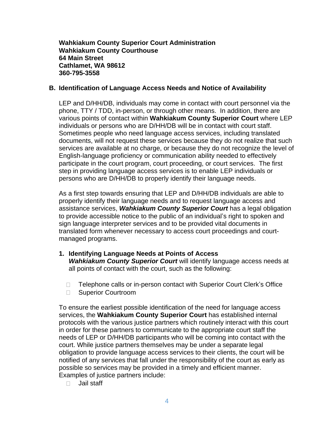**Wahkiakum County Superior Court Administration Wahkiakum County Courthouse 64 Main Street Cathlamet, WA 98612 360-795-3558**

#### **B. Identification of Language Access Needs and Notice of Availability**

LEP and D/HH/DB, individuals may come in contact with court personnel via the phone, TTY / TDD, in-person, or through other means. In addition, there are various points of contact within **Wahkiakum County Superior Court** where LEP individuals or persons who are D/HH/DB will be in contact with court staff. Sometimes people who need language access services, including translated documents, will not request these services because they do not realize that such services are available at no charge, or because they do not recognize the level of English-language proficiency or communication ability needed to effectively participate in the court program, court proceeding, or court services. The first step in providing language access services is to enable LEP individuals or persons who are D/HH/DB to properly identify their language needs.

As a first step towards ensuring that LEP and D/HH/DB individuals are able to properly identify their language needs and to request language access and assistance services, *Wahkiakum County Superior Court* has a legal obligation to provide accessible notice to the public of an individual's right to spoken and sign language interpreter services and to be provided vital documents in translated form whenever necessary to access court proceedings and courtmanaged programs.

- **1. Identifying Language Needs at Points of Access** *Wahkiakum County Superior Court* will identify language access needs at all points of contact with the court, such as the following:
	- □ Telephone calls or in-person contact with Superior Court Clerk's Office
	- □ Superior Courtroom

To ensure the earliest possible identification of the need for language access services, the **Wahkiakum County Superior Court** has established internal protocols with the various justice partners which routinely interact with this court in order for these partners to communicate to the appropriate court staff the needs of LEP or D/HH/DB participants who will be coming into contact with the court. While justice partners themselves may be under a separate legal obligation to provide language access services to their clients, the court will be notified of any services that fall under the responsibility of the court as early as possible so services may be provided in a timely and efficient manner. Examples of justice partners include:

 $\Box$  Jail staff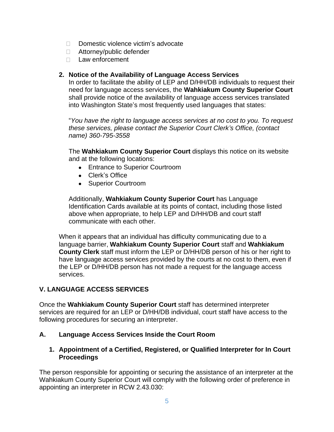- $\Box$  Domestic violence victim's advocate
- □ Attorney/public defender
- $\Box$  Law enforcement

### **2. Notice of the Availability of Language Access Services**

In order to facilitate the ability of LEP and D/HH/DB individuals to request their need for language access services, the **Wahkiakum County Superior Court** shall provide notice of the availability of language access services translated into Washington State's most frequently used languages that states:

"*You have the right to language access services at no cost to you. To request these services, please contact the Superior Court Clerk's Office, (contact name) 360-795-3558*

The **Wahkiakum County Superior Court** displays this notice on its website and at the following locations:

- Entrance to Superior Courtroom
- Clerk's Office
- Superior Courtroom

Additionally, **Wahkiakum County Superior Court** has Language Identification Cards available at its points of contact, including those listed above when appropriate, to help LEP and D/HH/DB and court staff communicate with each other.

When it appears that an individual has difficulty communicating due to a language barrier, **Wahkiakum County Superior Court** staff and **Wahkiakum County Clerk** staff must inform the LEP or D/HH/DB person of his or her right to have language access services provided by the courts at no cost to them, even if the LEP or D/HH/DB person has not made a request for the language access services.

# **V. LANGUAGE ACCESS SERVICES**

Once the **Wahkiakum County Superior Court** staff has determined interpreter services are required for an LEP or D/HH/DB individual, court staff have access to the following procedures for securing an interpreter.

### **A. Language Access Services Inside the Court Room**

### **1. Appointment of a Certified, Registered, or Qualified Interpreter for In Court Proceedings**

The person responsible for appointing or securing the assistance of an interpreter at the Wahkiakum County Superior Court will comply with the following order of preference in appointing an interpreter in RCW 2.43.030: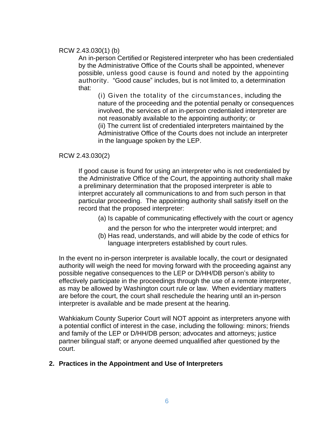#### RCW 2.43.030(1) (b)

An in-person Certified or Registered interpreter who has been credentialed by the Administrative Office of the Courts shall be appointed, whenever possible, unless good cause is found and noted by the appointing authority. "Good cause" includes, but is not limited to, a determination that:

(i) Given the totality of the circumstances, including the nature of the proceeding and the potential penalty or consequences involved, the services of an in-person credentialed interpreter are not reasonably available to the appointing authority; or (ii) The current list of credentialed interpreters maintained by the Administrative Office of the Courts does not include an interpreter in the language spoken by the LEP.

#### RCW 2.43.030(2)

If good cause is found for using an interpreter who is not credentialed by the Administrative Office of the Court, the appointing authority shall make a preliminary determination that the proposed interpreter is able to interpret accurately all communications to and from such person in that particular proceeding. The appointing authority shall satisfy itself on the record that the proposed interpreter:

- (a) Is capable of communicating effectively with the court or agency
	- and the person for who the interpreter would interpret; and
- (b) Has read, understands, and will abide by the code of ethics for language interpreters established by court rules.

In the event no in-person interpreter is available locally, the court or designated authority will weigh the need for moving forward with the proceeding against any possible negative consequences to the LEP or D/HH/DB person's ability to effectively participate in the proceedings through the use of a remote interpreter, as may be allowed by Washington court rule or law. When evidentiary matters are before the court, the court shall reschedule the hearing until an in-person interpreter is available and be made present at the hearing.

Wahkiakum County Superior Court will NOT appoint as interpreters anyone with a potential conflict of interest in the case, including the following: minors; friends and family of the LEP or D/HH/DB person; advocates and attorneys; justice partner bilingual staff; or anyone deemed unqualified after questioned by the court.

#### **2. Practices in the Appointment and Use of Interpreters**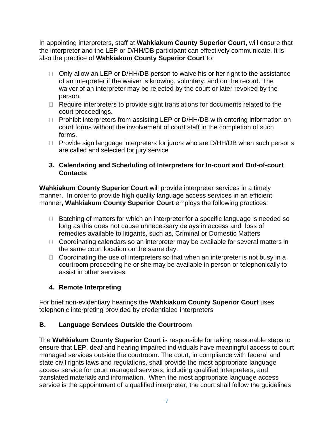In appointing interpreters, staff at **Wahkiakum County Superior Court,** will ensure that the interpreter and the LEP or D/HH/DB participant can effectively communicate. It is also the practice of **Wahkiakum County Superior Court** to:

- $\Box$  Only allow an LEP or D/HH/DB person to waive his or her right to the assistance of an interpreter if the waiver is knowing, voluntary, and on the record. The waiver of an interpreter may be rejected by the court or later revoked by the person.
- $\Box$  Require interpreters to provide sight translations for documents related to the court proceedings.
- □ Prohibit interpreters from assisting LEP or D/HH/DB with entering information on court forms without the involvement of court staff in the completion of such forms.
- $\Box$  Provide sign language interpreters for jurors who are D/HH/DB when such persons are called and selected for jury service

### **3. Calendaring and Scheduling of Interpreters for In-court and Out-of-court Contacts**

**Wahkiakum County Superior Court** will provide interpreter services in a timely manner. In order to provide high quality language access services in an efficient manner**, Wahkiakum County Superior Court** employs the following practices:

- $\Box$  Batching of matters for which an interpreter for a specific language is needed so long as this does not cause unnecessary delays in access and loss of remedies available to litigants, such as, Criminal or Domestic Matters
- $\Box$  Coordinating calendars so an interpreter may be available for several matters in the same court location on the same day.
- $\Box$  Coordinating the use of interpreters so that when an interpreter is not busy in a courtroom proceeding he or she may be available in person or telephonically to assist in other services.

### **4. Remote Interpreting**

For brief non-evidentiary hearings the **Wahkiakum County Superior Court** uses telephonic interpreting provided by credentialed interpreters

### **B. Language Services Outside the Courtroom**

The **Wahkiakum County Superior Court** is responsible for taking reasonable steps to ensure that LEP, deaf and hearing impaired individuals have meaningful access to court managed services outside the courtroom. The court, in compliance with federal and state civil rights laws and regulations, shall provide the most appropriate language access service for court managed services, including qualified interpreters, and translated materials and information. When the most appropriate language access service is the appointment of a qualified interpreter, the court shall follow the guidelines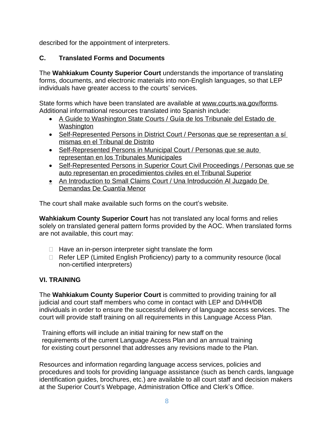described for the appointment of interpreters.

### **C. Translated Forms and Documents**

The **Wahkiakum County Superior Court** understands the importance of translating forms, documents, and electronic materials into non-English languages, so that LEP individuals have greater access to the courts' services.

State forms which have been translated are available at [www.courts.wa.gov/forms.](http://www.courts.wa.gov/forms) Additional informational resources translated into Spanish include:

- [A Guide to Washington State Courts](http://www.courts.wa.gov/newsinfo/content/pdf/CourtGuide2011_spanish.pdf) / [Guía](http://www.courts.wa.gov/newsinfo/content/pdf/CourtGuide2011_spanish.pdf) [de los](http://www.courts.wa.gov/newsinfo/content/pdf/CourtGuide2011_spanish.pdf) [Tribunale del Estado de](http://www.courts.wa.gov/newsinfo/content/pdf/CourtGuide2011_spanish.pdf)  Washington
- [Self-Represented Persons in District Court](http://www.courts.wa.gov/programs_orgs/pos_bja/ptc/documents/DistrictCourtProSeLitigantInformation_Spanish.pdf) / Personas que se representan a sí mismas en el Tribunal de Distrito
- [Self-Represented Persons in Municipal Court](http://www.courts.wa.gov/programs_orgs/pos_bja/ptc/documents/MunicipalCourtProSeLitigantInformation_Spanish.pdf) / Personas que se auto [representan](http://www.courts.wa.gov/programs_orgs/pos_bja/ptc/documents/MunicipalCourtProSeLitigantInformation_Spanish.pdf) [en](http://www.courts.wa.gov/programs_orgs/pos_bja/ptc/documents/MunicipalCourtProSeLitigantInformation_Spanish.pdf) [los](http://www.courts.wa.gov/programs_orgs/pos_bja/ptc/documents/MunicipalCourtProSeLitigantInformation_Spanish.pdf) [Tribunales](http://www.courts.wa.gov/programs_orgs/pos_bja/ptc/documents/MunicipalCourtProSeLitigantInformation_Spanish.pdf) [Municipales](http://www.courts.wa.gov/programs_orgs/pos_bja/ptc/documents/MunicipalCourtProSeLitigantInformation_Spanish.pdf)
- [Self-Represented Persons in Superior Court Civil Proceedings](http://www.courts.wa.gov/programs_orgs/pos_bja/ptc/documents/SuperiorCourtProSeLitigantInformation_Spanish.pdf) / Personas que se auto representan en procedimientos civiles en el Tribunal Superior
- [An Introduction to Small Claims Court](http://www.courts.wa.gov/newsinfo/resources/brochure_scc/smallclaimsSpanish.pdf) / [Una](http://www.courts.wa.gov/newsinfo/resources/brochure_scc/smallclaimsSpanish.pdf) [Introducción](http://www.courts.wa.gov/newsinfo/resources/brochure_scc/smallclaimsSpanish.pdf) [Al Juzgado De](http://www.courts.wa.gov/newsinfo/resources/brochure_scc/smallclaimsSpanish.pdf)  [Demandas De](http://www.courts.wa.gov/newsinfo/resources/brochure_scc/smallclaimsSpanish.pdf) [Cuantía](http://www.courts.wa.gov/newsinfo/resources/brochure_scc/smallclaimsSpanish.pdf) [Menor](http://www.courts.wa.gov/newsinfo/resources/brochure_scc/smallclaimsSpanish.pdf)

The court shall make available such forms on the court's website.

**Wahkiakum County Superior Court** has not translated any local forms and relies solely on translated general pattern forms provided by the AOC. When translated forms are not available, this court may:

- $\Box$  Have an in-person interpreter sight translate the form
- $\Box$  Refer LEP (Limited English Proficiency) party to a community resource (local non-certified interpreters)

### **VI. TRAINING**

The **Wahkiakum County Superior Court** is committed to providing training for all judicial and court staff members who come in contact with LEP and D/HH/DB individuals in order to ensure the successful delivery of language access services. The court will provide staff training on all requirements in this Language Access Plan.

Training efforts will include an initial training for new staff on the requirements of the current Language Access Plan and an annual training for existing court personnel that addresses any revisions made to the Plan.

Resources and information regarding language access services, policies and procedures and tools for providing language assistance (such as bench cards, language identification guides, brochures, etc.) are available to all court staff and decision makers at the Superior Court's Webpage, Administration Office and Clerk's Office.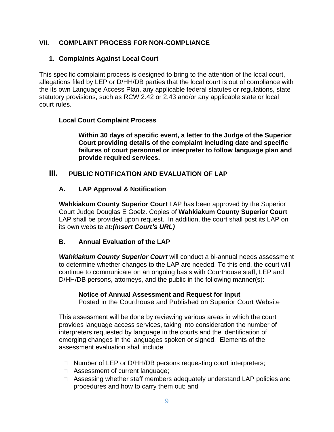# **VII. COMPLAINT PROCESS FOR NON-COMPLIANCE**

### **1. Complaints Against Local Court**

This specific complaint process is designed to bring to the attention of the local court, allegations filed by LEP or D/HH/DB parties that the local court is out of compliance with the its own Language Access Plan, any applicable federal statutes or regulations, state statutory provisions, such as RCW 2.42 or 2.43 and/or any applicable state or local court rules.

### **Local Court Complaint Process**

**Within 30 days of specific event, a letter to the Judge of the Superior Court providing details of the complaint including date and specific failures of court personnel or interpreter to follow language plan and provide required services.**

### **III. PUBLIC NOTIFICATION AND EVALUATION OF LAP**

### **A. LAP Approval & Notification**

**Wahkiakum County Superior Court** LAP has been approved by the Superior Court Judge Douglas E Goelz. Copies of **Wahkiakum County Superior Court** LAP shall be provided upon request. In addition, the court shall post its LAP on its own website at**:***(insert Court's URL)*

### **B. Annual Evaluation of the LAP**

*Wahkiakum County Superior Court* will conduct a bi-annual needs assessment to determine whether changes to the LAP are needed. To this end, the court will continue to communicate on an ongoing basis with Courthouse staff, LEP and D/HH/DB persons, attorneys, and the public in the following manner(s):

#### **Notice of Annual Assessment and Request for Input**

Posted in the Courthouse and Published on Superior Court Website

This assessment will be done by reviewing various areas in which the court provides language access services, taking into consideration the number of interpreters requested by language in the courts and the identification of emerging changes in the languages spoken or signed. Elements of the assessment evaluation shall include

- □ Number of LEP or D/HH/DB persons requesting court interpreters;
- □ Assessment of current language;
- □ Assessing whether staff members adequately understand LAP policies and procedures and how to carry them out; and